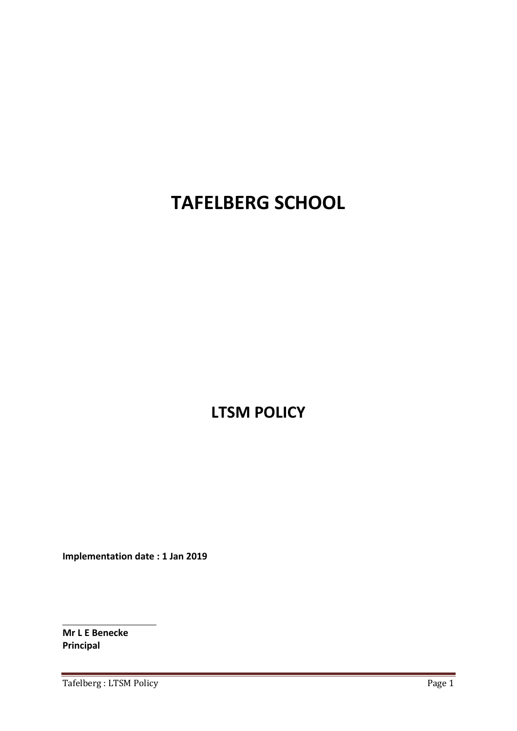# **TAFELBERG SCHOOL**

**LTSM POLICY**

**Implementation date : 1 Jan 2019**

**Mr L E Benecke Principal**

Tafelberg : LTSM Policy Page 1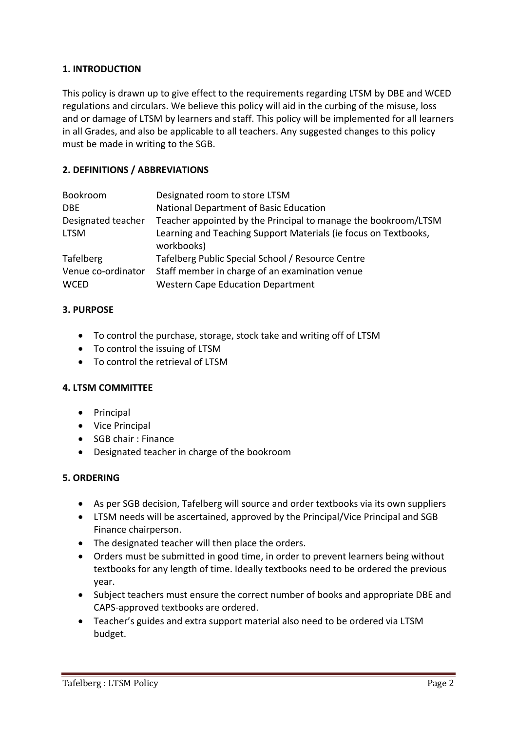#### **1. INTRODUCTION**

This policy is drawn up to give effect to the requirements regarding LTSM by DBE and WCED regulations and circulars. We believe this policy will aid in the curbing of the misuse, loss and or damage of LTSM by learners and staff. This policy will be implemented for all learners in all Grades, and also be applicable to all teachers. Any suggested changes to this policy must be made in writing to the SGB.

#### **2. DEFINITIONS / ABBREVIATIONS**

| Bookroom           | Designated room to store LTSM                                                 |
|--------------------|-------------------------------------------------------------------------------|
| DBE.               | National Department of Basic Education                                        |
| Designated teacher | Teacher appointed by the Principal to manage the bookroom/LTSM                |
| <b>LTSM</b>        | Learning and Teaching Support Materials (ie focus on Textbooks,<br>workbooks) |
| <b>Tafelberg</b>   | Tafelberg Public Special School / Resource Centre                             |
| Venue co-ordinator | Staff member in charge of an examination venue                                |
| <b>WCED</b>        | <b>Western Cape Education Department</b>                                      |

#### **3. PURPOSE**

- To control the purchase, storage, stock take and writing off of LTSM
- To control the issuing of LTSM
- To control the retrieval of LTSM

#### **4. LTSM COMMITTEE**

- Principal
- Vice Principal
- SGB chair : Finance
- Designated teacher in charge of the bookroom

#### **5. ORDERING**

- As per SGB decision, Tafelberg will source and order textbooks via its own suppliers
- LTSM needs will be ascertained, approved by the Principal/Vice Principal and SGB Finance chairperson.
- The designated teacher will then place the orders.
- Orders must be submitted in good time, in order to prevent learners being without textbooks for any length of time. Ideally textbooks need to be ordered the previous year.
- Subject teachers must ensure the correct number of books and appropriate DBE and CAPS‐approved textbooks are ordered.
- Teacher's guides and extra support material also need to be ordered via LTSM budget.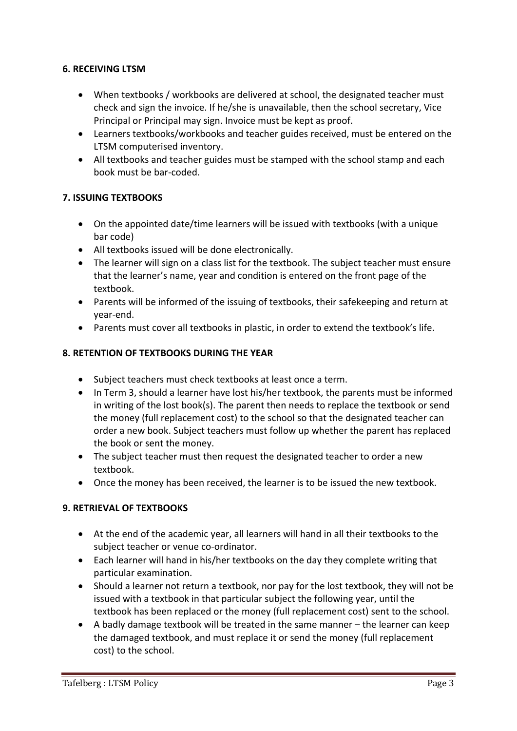#### **6. RECEIVING LTSM**

- When textbooks / workbooks are delivered at school, the designated teacher must check and sign the invoice. If he/she is unavailable, then the school secretary, Vice Principal or Principal may sign. Invoice must be kept as proof.
- Learners textbooks/workbooks and teacher guides received, must be entered on the LTSM computerised inventory.
- All textbooks and teacher guides must be stamped with the school stamp and each book must be bar‐coded.

## **7. ISSUING TEXTBOOKS**

- On the appointed date/time learners will be issued with textbooks (with a unique bar code)
- All textbooks issued will be done electronically.
- The learner will sign on a class list for the textbook. The subject teacher must ensure that the learner's name, year and condition is entered on the front page of the textbook.
- Parents will be informed of the issuing of textbooks, their safekeeping and return at year‐end.
- Parents must cover all textbooks in plastic, in order to extend the textbook's life.

## **8. RETENTION OF TEXTBOOKS DURING THE YEAR**

- Subject teachers must check textbooks at least once a term.
- In Term 3, should a learner have lost his/her textbook, the parents must be informed in writing of the lost book(s). The parent then needs to replace the textbook or send the money (full replacement cost) to the school so that the designated teacher can order a new book. Subject teachers must follow up whether the parent has replaced the book or sent the money.
- The subject teacher must then request the designated teacher to order a new textbook.
- Once the money has been received, the learner is to be issued the new textbook.

# **9. RETRIEVAL OF TEXTBOOKS**

- At the end of the academic year, all learners will hand in all their textbooks to the subject teacher or venue co-ordinator.
- Each learner will hand in his/her textbooks on the day they complete writing that particular examination.
- Should a learner not return a textbook, nor pay for the lost textbook, they will not be issued with a textbook in that particular subject the following year, until the textbook has been replaced or the money (full replacement cost) sent to the school.
- A badly damage textbook will be treated in the same manner the learner can keep the damaged textbook, and must replace it or send the money (full replacement cost) to the school.